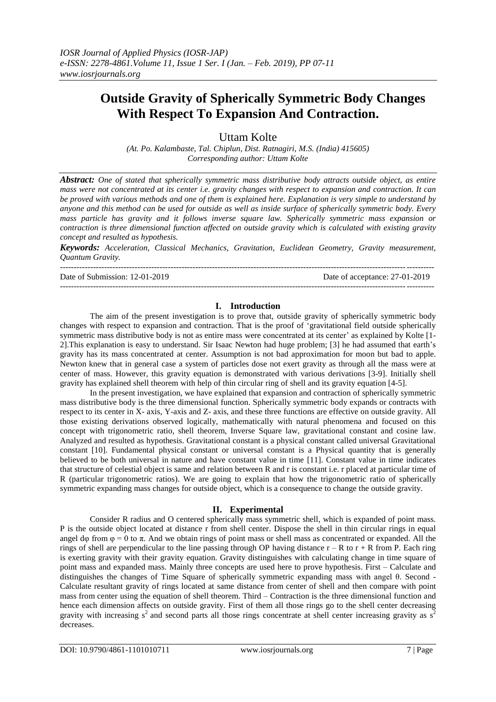# **Outside Gravity of Spherically Symmetric Body Changes With Respect To Expansion And Contraction.**

Uttam Kolte

*(At. Po. Kalambaste, Tal. Chiplun, Dist. Ratnagiri, M.S. (India) 415605) Corresponding author: Uttam Kolte*

*Abstract: One of stated that spherically symmetric mass distributive body attracts outside object, as entire mass were not concentrated at its center i.e. gravity changes with respect to expansion and contraction. It can be proved with various methods and one of them is explained here. Explanation is very simple to understand by anyone and this method can be used for outside as well as inside surface of spherically symmetric body. Every mass particle has gravity and it follows inverse square law. Spherically symmetric mass expansion or contraction is three dimensional function affected on outside gravity which is calculated with existing gravity concept and resulted as hypothesis.* 

*Keywords: Acceleration, Classical Mechanics, Gravitation, Euclidean Geometry, Gravity measurement, Quantum Gravity.*

--------------------------------------------------------------------------------------------------------------------------------------- Date of Submission: 12-01-2019 Date of acceptance: 27-01-2019 ---------------------------------------------------------------------------------------------------------------------------------------

### **I. Introduction**

The aim of the present investigation is to prove that, outside gravity of spherically symmetric body changes with respect to expansion and contraction. That is the proof of 'gravitational field outside spherically symmetric mass distributive body is not as entire mass were concentrated at its center' as explained by Kolte [1-2].This explanation is easy to understand. Sir Isaac Newton had huge problem; [3] he had assumed that earth's gravity has its mass concentrated at center. Assumption is not bad approximation for moon but bad to apple. Newton knew that in general case a system of particles dose not exert gravity as through all the mass were at center of mass. However, this gravity equation is demonstrated with various derivations [3-9]. Initially shell gravity has explained shell theorem with help of thin circular ring of shell and its gravity equation [4-5].

In the present investigation, we have explained that expansion and contraction of spherically symmetric mass distributive body is the three dimensional function. Spherically symmetric body expands or contracts with respect to its center in X- axis, Y-axis and Z- axis, and these three functions are effective on outside gravity. All those existing derivations observed logically, mathematically with natural phenomena and focused on this concept with trigonometric ratio, shell theorem, Inverse Square law, gravitational constant and cosine law. Analyzed and resulted as hypothesis. Gravitational constant is a physical constant called universal Gravitational constant [10]. Fundamental physical constant or universal constant is a Physical quantity that is generally believed to be both universal in nature and have constant value in time [11]. Constant value in time indicates that structure of celestial object is same and relation between R and r is constant i.e. r placed at particular time of R (particular trigonometric ratios). We are going to explain that how the trigonometric ratio of spherically symmetric expanding mass changes for outside object, which is a consequence to change the outside gravity.

## **II. Experimental**

Consider R radius and O centered spherically mass symmetric shell, which is expanded of point mass. P is the outside object located at distance r from shell center. Dispose the shell in thin circular rings in equal angel dφ from  $\varphi = 0$  to  $\pi$ . And we obtain rings of point mass or shell mass as concentrated or expanded. All the rings of shell are perpendicular to the line passing through OP having distance  $r - R$  to  $r + R$  from P. Each ring is exerting gravity with their gravity equation. Gravity distinguishes with calculating change in time square of point mass and expanded mass. Mainly three concepts are used here to prove hypothesis. First – Calculate and distinguishes the changes of Time Square of spherically symmetric expanding mass with angel θ. Second - Calculate resultant gravity of rings located at same distance from center of shell and then compare with point mass from center using the equation of shell theorem. Third – Contraction is the three dimensional function and hence each dimension affects on outside gravity. First of them all those rings go to the shell center decreasing gravity with increasing  $s^2$  and second parts all those rings concentrate at shell center increasing gravity as  $s^2$ decreases.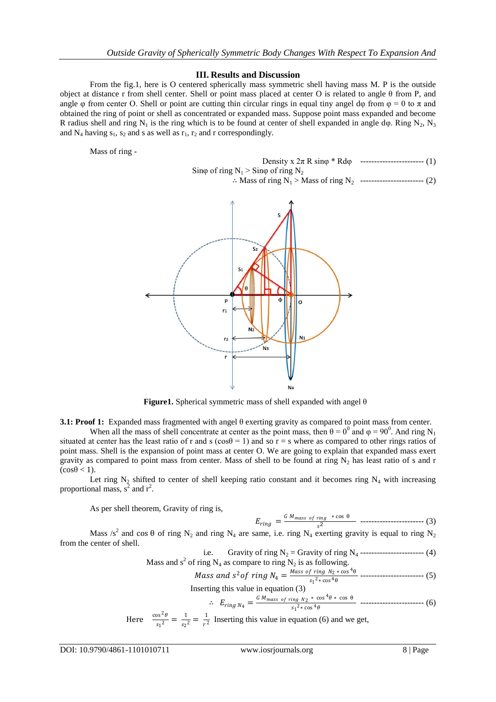#### **III. Results and Discussion**

From the fig.1, here is O centered spherically mass symmetric shell having mass M. P is the outside object at distance r from shell center. Shell or point mass placed at center O is related to angle θ from P, and angle  $\varphi$  from center O. Shell or point are cutting thin circular rings in equal tiny angel d $\varphi$  from  $\varphi = 0$  to  $\pi$  and obtained the ring of point or shell as concentrated or expanded mass. Suppose point mass expanded and become R radius shell and ring N<sub>1</sub> is the ring which is to be found at center of shell expanded in angle d $\varphi$ . Ring N<sub>2</sub>, N<sub>3</sub> and  $N_4$  having  $s_1$ ,  $s_2$  and s as well as  $r_1$ ,  $r_2$  and r correspondingly.

Mass of ring -

Density 
$$
x \, 2\pi \, R \sin\varphi * R d\varphi
$$
 \n $\therefore$  King of ring N<sub>1</sub> > Sing of ring N<sub>2</sub> \n $\therefore$  Mass of ring N<sub>1</sub> > Mass of ring N<sub>2</sub> \n $\therefore$ 



**Figure1.** Spherical symmetric mass of shell expanded with angel θ

**3.1: Proof 1:** Expanded mass fragmented with angel θ exerting gravity as compared to point mass from center.

When all the mass of shell concentrate at center as the point mass, then  $\theta = 0^0$  and  $\varphi = 90^0$ . And ring N<sub>1</sub> situated at center has the least ratio of r and s ( $\cos\theta = 1$ ) and so r = s where as compared to other rings ratios of point mass. Shell is the expansion of point mass at center O. We are going to explain that expanded mass exert gravity as compared to point mass from center. Mass of shell to be found at ring  $N_2$  has least ratio of s and r  $(\cos\theta < 1)$ .

Let ring  $N_2$  shifted to center of shell keeping ratio constant and it becomes ring  $N_4$  with increasing proportional mass,  $s^2$  and  $r^2$ .

As per shell theorem, Gravity of ring is,

$$
E_{ring} = \frac{GM_{mass of ring} * \cos \theta}{s^2} \quad \dots \quad \dots \quad \dots \quad \dots \quad (3)
$$

Mass /s<sup>2</sup> and cos θ of ring N<sub>2</sub> and ring N<sub>4</sub> are same, i.e. ring N<sub>4</sub> exerting gravity is equal to ring N<sub>2</sub> from the center of shell.

i.e. Gravity of ring 
$$
N_2
$$
 = Gravity of ring  $N_4$  *----------------* (4) Mass and  $s^2$  of ring  $N_4$  as compare to ring  $N_2$  is as following.

*Mass and* 
$$
s^2
$$
 *of*  $ring\ N_4 = \frac{Mass\ of\ ring\ N_2 \times \cos^4\theta}{s_1^2 \times \cos^4\theta}$  \n  $-\text{ 5)}$ 

Inserting this value in equation (3)

$$
\therefore E_{ring\ N_4} = \frac{G\ M_{mass\ of\ ring\ N_2} * \cos^4\theta * \cos\theta}{s_1^2 * \cos^4\theta} \ \dots \tag{6}
$$

Here 
$$
\frac{\cos^2 \theta}{s_1^2} = \frac{1}{s_2^2} = \frac{1}{r^2}
$$
 Inserting this value in equation (6) and we get,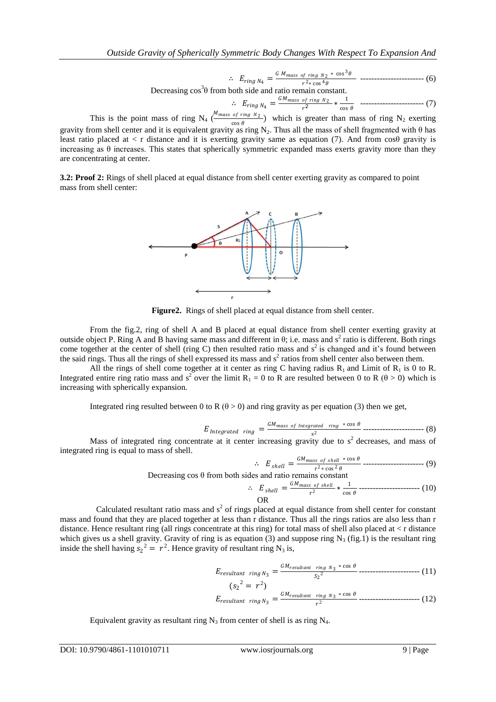$$
\therefore E_{ring\ N_4} = \frac{GM_{mass\ of\ ring\ N_2} * \cos^3\theta}{r^2 * \cos^4\theta} \ \dots \tag{6}
$$

 $2r_{ring}N_4$  –  $2r_{eng}N_4$  –  $2r_{avg}N_4$  –  $2r_{cos}N_6$ <br>Decreasing cos<sup>3</sup>θ from both side and ratio remain constant.

$$
\therefore E_{ring\ N_4} = \frac{GM_{mass of\ ring\ N_2}}{r^2} * \frac{1}{\cos\theta} \quad \text{---}
$$

This is the point mass of ring  $N_4$  ( $\frac{M_{mass of ring N_2}}{cos \theta}$  $\frac{\partial f \text{ ring } N_2}{\partial \cos \theta}$  which is greater than mass of ring N<sub>2</sub> exerting gravity from shell center and it is equivalent gravity as ring N<sub>2</sub>. Thus all the mass of shell fragmented with  $\theta$  has least ratio placed at  $\lt r$  distance and it is exerting gravity same as equation (7). And from cos $\theta$  gravity is increasing as  $\theta$  increases. This states that spherically symmetric expanded mass exerts gravity more than they are concentrating at center.

**3.2: Proof 2:** Rings of shell placed at equal distance from shell center exerting gravity as compared to point mass from shell center:



**Figure2.** Rings of shell placed at equal distance from shell center.

From the fig.2, ring of shell A and B placed at equal distance from shell center exerting gravity at outside object P. Ring A and B having same mass and different in  $\theta$ ; i.e. mass and s<sup>2</sup> ratio is different. Both rings come together at the center of shell (ring C) then resulted ratio mass and  $s^2$  is changed and it's found between the said rings. Thus all the rings of shell expressed its mass and  $s<sup>2</sup>$  ratios from shell center also between them.

All the rings of shell come together at it center as ring C having radius  $R_1$  and Limit of  $R_1$  is 0 to R. Integrated entire ring ratio mass and s<sup>2</sup> over the limit R<sub>1</sub> = 0 to R are resulted between 0 to R ( $\theta$  > 0) which is increasing with spherically expansion.

Integrated ring resulted between 0 to R  $(\theta > 0)$  and ring gravity as per equation (3) then we get,

$$
E_{\text{Integrated ring}} = \frac{GM_{\text{mass of Integrated ring}} * \cos \theta}{s^2} \dots \dots \dots \dots \dots \dots \dots \dots \tag{8}
$$

Mass of integrated ring concentrate at it center increasing gravity due to  $s^2$  decreases, and mass of integrated ring is equal to mass of shell.

$$
\therefore E_{shell} = \frac{GM_{mass of shell} * \cos \theta}{r^2 * \cos^2 \theta} \dots \dots \dots \dots \dots \dots \dots \dots \dots \tag{9}
$$

 $\frac{e^{-\frac{1}{2}x} \cos^2 \theta}{\sin^2 \theta}$ <br>Decreasing cos θ from both sides and ratio remains constant

$$
\therefore E_{shell} = \frac{GM_{mass of shell}}{r^2} * \frac{1}{\cos \theta} \dots \dots \dots \dots \dots \dots \dots \dots \dots \tag{10}
$$
 OR

 Calculated resultant ratio mass and s 2 of rings placed at equal distance from shell center for constant mass and found that they are placed together at less than r distance. Thus all the rings ratios are also less than r distance. Hence resultant ring (all rings concentrate at this ring) for total mass of shell also placed at < r distance which gives us a shell gravity. Gravity of ring is as equation (3) and suppose ring  $N_3$  (fig.1) is the resultant ring inside the shell having  $s_2^2 = r^2$ . Hence gravity of resultant ring N<sub>3</sub> is,

$$
E_{resultant} \, \text{ring} \, N_3 = \frac{GM_{resultant} \, \text{ring} \, N_3 \, * \cos \theta}{S_2^2} \, \text{underline} \, (11)
$$
\n
$$
(S_2^2 = r^2)
$$

$$
E_{resultant} \, \, \text{ring} \, \, N_3 = \frac{GM_{resultant} \, \, \text{ring} \, \, N_3 \, \, * \, \text{cos} \, \theta}{r^2} \, \text{underline} \, (12)
$$

Equivalent gravity as resultant ring  $N_3$  from center of shell is as ring  $N_4$ .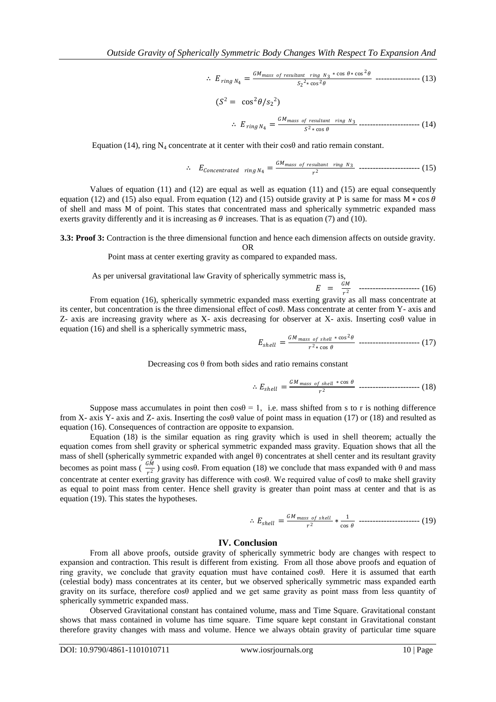$$
\therefore E_{ring\ N_4} = \frac{GM_{mass\ of\ resultant\ ring\ N_3} * \cos\theta * \cos^2\theta}{S_2^2 * \cos^2\theta} \ \dots \tag{13}
$$

$$
(S2 = cos2 \theta / s22)
$$
  
 
$$
\therefore Ering N4 = \frac{GMmass of resultant ring N3}{S2 * cos \theta}
$$

Equation (14), ring N<sub>4</sub> concentrate at it center with their cos $\theta$  and ratio remain constant.

$$
\therefore E_{Concentrated\ ring\ N_4} = \frac{GM_{mass\ of\ resultant\ ring\ N_3}}{r^2} \ \dots \dots \dots \dots \dots \dots \dots \dots \dots \tag{15}
$$

Values of equation (11) and (12) are equal as well as equation (11) and (15) are equal consequently equation (12) and (15) also equal. From equation (12) and (15) outside gravity at P is same for mass M  $*$  cos  $\theta$ of shell and mass M of point. This states that concentrated mass and spherically symmetric expanded mass exerts gravity differently and it is increasing as  $\theta$  increases. That is as equation (7) and (10).

**3.3: Proof 3:** Contraction is the three dimensional function and hence each dimension affects on outside gravity. OR

Point mass at center exerting gravity as compared to expanded mass.

As per universal gravitational law Gravity of spherically symmetric mass is,  $E = \frac{GM}{r^2}$  $\frac{2m}{r^2}$  --------------------------- (16)

From equation (16), spherically symmetric expanded mass exerting gravity as all mass concentrate at its center, but concentration is the three dimensional effect of cosθ. Mass concentrate at center from Y- axis and Z- axis are increasing gravity where as X- axis decreasing for observer at X- axis. Inserting cosθ value in equation (16) and shell is a spherically symmetric mass,

$$
E_{shell} = \frac{GM_{mass of shell} * \cos^2 \theta}{r^2 * \cos \theta} \quad \dots \quad (17)
$$

Decreasing  $\cos \theta$  from both sides and ratio remains constant

$$
\therefore E_{shell} = \frac{GM_{mass of shell} * \cos \theta}{r^2} \quad \dots \quad \dots \quad \dots \quad (18)
$$

Suppose mass accumulates in point then  $\cos\theta = 1$ , i.e. mass shifted from s to r is nothing difference from X- axis Y- axis and Z- axis. Inserting the cos $\theta$  value of point mass in equation (17) or (18) and resulted as equation (16). Consequences of contraction are opposite to expansion.

Equation (18) is the similar equation as ring gravity which is used in shell theorem; actually the equation comes from shell gravity or spherical symmetric expanded mass gravity. Equation shows that all the mass of shell (spherically symmetric expanded with angel θ) concentrates at shell center and its resultant gravity becomes as point mass ( $\frac{GM}{2}$  $\frac{2m}{r^2}$ ) using cos $\theta$ . From equation (18) we conclude that mass expanded with  $\theta$  and mass concentrate at center exerting gravity has difference with cosθ. We required value of cosθ to make shell gravity as equal to point mass from center. Hence shell gravity is greater than point mass at center and that is as equation (19). This states the hypotheses.

$$
\therefore E_{shell} = \frac{GM_{mass of shell}}{r^2} * \frac{1}{\cos \theta} \quad \dots \quad \dots \quad \dots \quad (19)
$$

#### **IV. Conclusion**

From all above proofs, outside gravity of spherically symmetric body are changes with respect to expansion and contraction. This result is different from existing. From all those above proofs and equation of ring gravity, we conclude that gravity equation must have contained cosθ. Here it is assumed that earth (celestial body) mass concentrates at its center, but we observed spherically symmetric mass expanded earth gravity on its surface, therefore cosθ applied and we get same gravity as point mass from less quantity of spherically symmetric expanded mass.

Observed Gravitational constant has contained volume, mass and Time Square. Gravitational constant shows that mass contained in volume has time square. Time square kept constant in Gravitational constant therefore gravity changes with mass and volume. Hence we always obtain gravity of particular time square